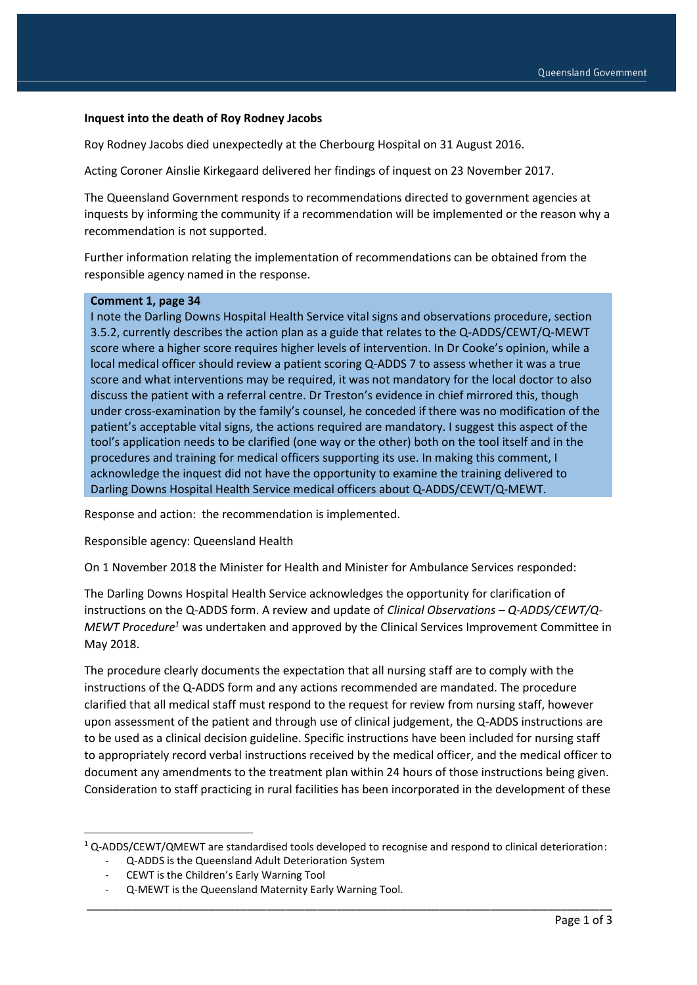#### **Inquest into the death of Roy Rodney Jacobs**

Roy Rodney Jacobs died unexpectedly at the Cherbourg Hospital on 31 August 2016.

Acting Coroner Ainslie Kirkegaard delivered her findings of inquest on 23 November 2017.

The Queensland Government responds to recommendations directed to government agencies at inquests by informing the community if a recommendation will be implemented or the reason why a recommendation is not supported.

Further information relating the implementation of recommendations can be obtained from the responsible agency named in the response.

#### **Comment 1, page 34**

I note the Darling Downs Hospital Health Service vital signs and observations procedure, section 3.5.2, currently describes the action plan as a guide that relates to the Q-ADDS/CEWT/Q-MEWT score where a higher score requires higher levels of intervention. In Dr Cooke's opinion, while a local medical officer should review a patient scoring Q-ADDS 7 to assess whether it was a true score and what interventions may be required, it was not mandatory for the local doctor to also discuss the patient with a referral centre. Dr Treston's evidence in chief mirrored this, though under cross-examination by the family's counsel, he conceded if there was no modification of the patient's acceptable vital signs, the actions required are mandatory. I suggest this aspect of the tool's application needs to be clarified (one way or the other) both on the tool itself and in the procedures and training for medical officers supporting its use. In making this comment, I acknowledge the inquest did not have the opportunity to examine the training delivered to Darling Downs Hospital Health Service medical officers about Q-ADDS/CEWT/Q-MEWT.

Response and action: the recommendation is implemented.

Responsible agency: Queensland Health

On 1 November 2018 the Minister for Health and Minister for Ambulance Services responded:

The Darling Downs Hospital Health Service acknowledges the opportunity for clarification of instructions on the Q-ADDS form. A review and update of *Clinical Observations – Q-ADDS/CEWT/Q-MEWT Procedure<sup>1</sup>* was undertaken and approved by the Clinical Services Improvement Committee in May 2018.

The procedure clearly documents the expectation that all nursing staff are to comply with the instructions of the Q-ADDS form and any actions recommended are mandated. The procedure clarified that all medical staff must respond to the request for review from nursing staff, however upon assessment of the patient and through use of clinical judgement, the Q-ADDS instructions are to be used as a clinical decision guideline. Specific instructions have been included for nursing staff to appropriately record verbal instructions received by the medical officer, and the medical officer to document any amendments to the treatment plan within 24 hours of those instructions being given. Consideration to staff practicing in rural facilities has been incorporated in the development of these

\_\_\_\_\_\_\_\_\_\_\_\_\_\_\_\_\_\_\_\_\_\_\_\_\_\_\_\_\_\_\_\_\_\_\_\_\_\_\_\_\_\_\_\_\_\_\_\_\_\_\_\_\_\_\_\_\_\_\_\_\_\_\_\_\_\_\_\_\_\_\_\_\_\_\_\_\_\_\_\_\_\_

1

 $1$  Q-ADDS/CEWT/QMEWT are standardised tools developed to recognise and respond to clinical deterioration:

<sup>-</sup> Q-ADDS is the Queensland Adult Deterioration System

CEWT is the Children's Early Warning Tool

<sup>-</sup> Q-MEWT is the Queensland Maternity Early Warning Tool.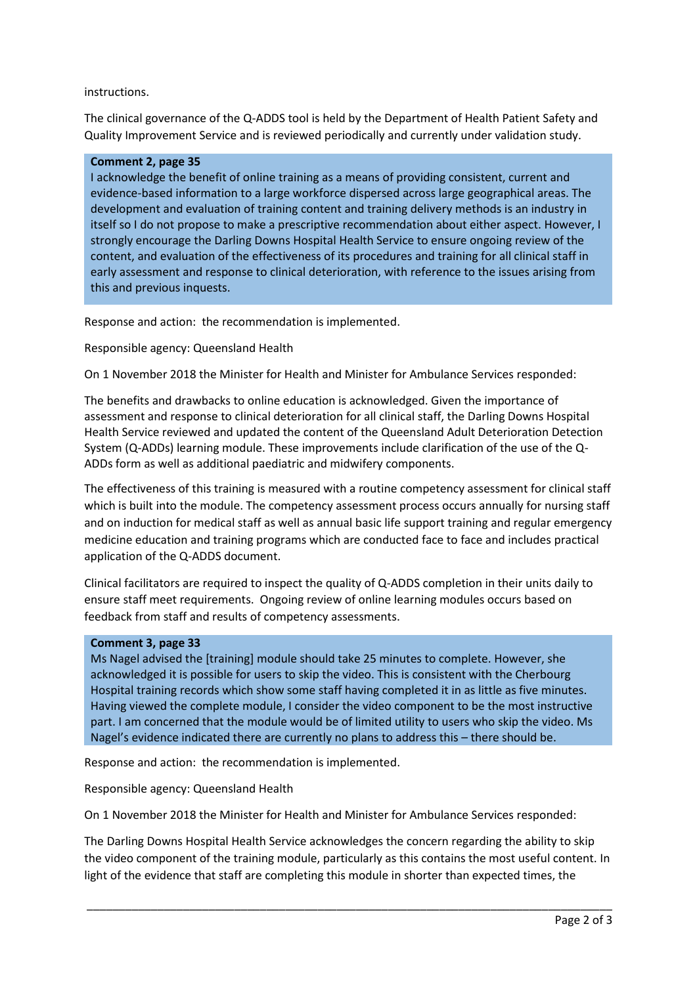## instructions.

The clinical governance of the Q-ADDS tool is held by the Department of Health Patient Safety and Quality Improvement Service and is reviewed periodically and currently under validation study.

### **Comment 2, page 35**

I acknowledge the benefit of online training as a means of providing consistent, current and evidence-based information to a large workforce dispersed across large geographical areas. The development and evaluation of training content and training delivery methods is an industry in itself so I do not propose to make a prescriptive recommendation about either aspect. However, I strongly encourage the Darling Downs Hospital Health Service to ensure ongoing review of the content, and evaluation of the effectiveness of its procedures and training for all clinical staff in early assessment and response to clinical deterioration, with reference to the issues arising from this and previous inquests.

Response and action: the recommendation is implemented.

# Responsible agency: Queensland Health

On 1 November 2018 the Minister for Health and Minister for Ambulance Services responded:

The benefits and drawbacks to online education is acknowledged. Given the importance of assessment and response to clinical deterioration for all clinical staff, the Darling Downs Hospital Health Service reviewed and updated the content of the Queensland Adult Deterioration Detection System (Q-ADDs) learning module. These improvements include clarification of the use of the Q-ADDs form as well as additional paediatric and midwifery components.

The effectiveness of this training is measured with a routine competency assessment for clinical staff which is built into the module. The competency assessment process occurs annually for nursing staff and on induction for medical staff as well as annual basic life support training and regular emergency medicine education and training programs which are conducted face to face and includes practical application of the Q-ADDS document.

Clinical facilitators are required to inspect the quality of Q-ADDS completion in their units daily to ensure staff meet requirements. Ongoing review of online learning modules occurs based on feedback from staff and results of competency assessments.

### **Comment 3, page 33**

Ms Nagel advised the [training] module should take 25 minutes to complete. However, she acknowledged it is possible for users to skip the video. This is consistent with the Cherbourg Hospital training records which show some staff having completed it in as little as five minutes. Having viewed the complete module, I consider the video component to be the most instructive part. I am concerned that the module would be of limited utility to users who skip the video. Ms Nagel's evidence indicated there are currently no plans to address this – there should be.

Response and action: the recommendation is implemented.

Responsible agency: Queensland Health

On 1 November 2018 the Minister for Health and Minister for Ambulance Services responded:

The Darling Downs Hospital Health Service acknowledges the concern regarding the ability to skip the video component of the training module, particularly as this contains the most useful content. In light of the evidence that staff are completing this module in shorter than expected times, the

\_\_\_\_\_\_\_\_\_\_\_\_\_\_\_\_\_\_\_\_\_\_\_\_\_\_\_\_\_\_\_\_\_\_\_\_\_\_\_\_\_\_\_\_\_\_\_\_\_\_\_\_\_\_\_\_\_\_\_\_\_\_\_\_\_\_\_\_\_\_\_\_\_\_\_\_\_\_\_\_\_\_